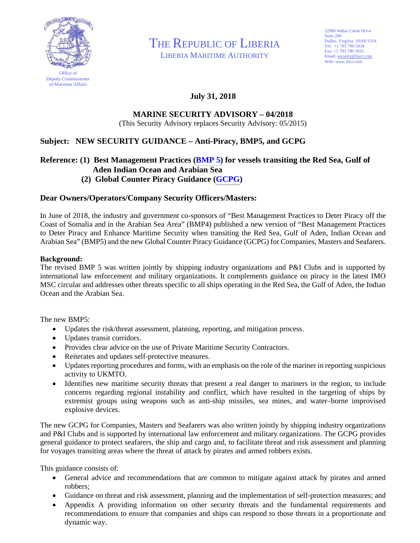

THE REPUBLIC OF LIBERIA

LIBERIA MARITIME AUTHORITY

22980 Indian Creek Drive Suite 200 Dulles, Virginia 20166 USA Tel: +1 703 790 3434 Fax: +1 703 790 5655 Email: security@liscr.com Web: www.liscr.com

# **July 31, 2018**

#### **MARINE SECURITY ADVISORY – 04/2018**  (This Security Advisory replaces Security Advisory: 05/2015)

# **Subject: NEW SECURITY GUIDANCE – Anti-Piracy, BMP5, and GCPG**

### **Reference: (1) Best Management Practices [\(BMP 5\)](http://www.liscr.com/sites/default/files/BMP5.pdf) for vessels transiting the Red Sea, Gulf of Aden Indian Ocean and Arabian Sea**

# **(2) Global Counter Piracy Guidance [\(GCPG\)](http://www.liscr.com/sites/default/files/GCPG_1.pdf)**

## **Dear Owners/Operators/Company Security Officers/Masters:**

In June of 2018, the industry and government co-sponsors of "Best Management Practices to Deter Piracy off the Coast of Somalia and in the Arabian Sea Area" (BMP4) published a new version of "Best Management Practices to Deter Piracy and Enhance Maritime Security when transiting the Red Sea, Gulf of Aden, Indian Ocean and Arabian Sea" (BMP5) and the new Global Counter Piracy Guidance (GCPG) for Companies, Masters and Seafarers.

#### **Background:**

The revised BMP 5 was written jointly by shipping industry organizations and P&I Clubs and is supported by international law enforcement and military organizations. It complements guidance on piracy in the latest IMO MSC circular and addresses other threats specific to all ships operating in the Red Sea, the Gulf of Aden, the Indian Ocean and the Arabian Sea.

The new BMP5:

- Updates the risk/threat assessment, planning, reporting, and mitigation process.
- Updates transit corridors.
- Provides clear advice on the use of Private Maritime Security Contractors.
- Reiterates and updates self-protective measures.
- Updates reporting procedures and forms, with an emphasis on the role of the mariner in reporting suspicious activity to UKMTO.
- Identifies new maritime security threats that present a real danger to mariners in the region, to include concerns regarding regional instability and conflict, which have resulted in the targeting of ships by extremist groups using weapons such as anti-ship missiles, sea mines, and water–borne improvised explosive devices.

The new GCPG for Companies, Masters and Seafarers was also written jointly by shipping industry organizations and P&I Clubs and is supported by international law enforcement and military organizations. The GCPG provides general guidance to protect seafarers, the ship and cargo and, to facilitate threat and risk assessment and planning for voyages transiting areas where the threat of attack by pirates and armed robbers exists.

This guidance consists of:

- General advice and recommendations that are common to mitigate against attack by pirates and armed robbers;
- Guidance on threat and risk assessment, planning and the implementation of self-protection measures; and
- Appendix A providing information on other security threats and the fundamental requirements and recommendations to ensure that companies and ships can respond to those threats in a proportionate and dynamic way.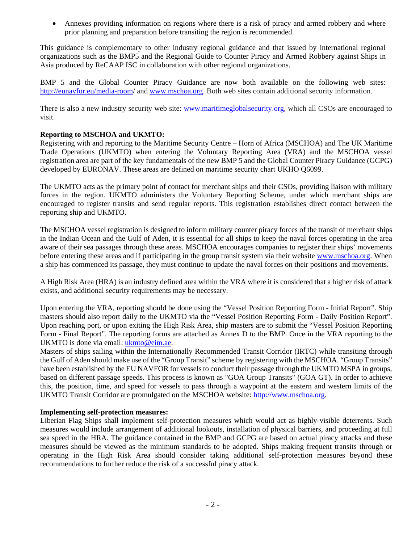Annexes providing information on regions where there is a risk of piracy and armed robbery and where prior planning and preparation before transiting the region is recommended.

This guidance is complementary to other industry regional guidance and that issued by international regional organizations such as the BMP5 and the Regional Guide to Counter Piracy and Armed Robbery against Ships in Asia produced by ReCAAP ISC in collaboration with other regional organizations.

BMP 5 and the Global Counter Piracy Guidance are now both available on the following web sites: http://eunavfor.eu/media-room/ and www.mschoa.org. Both web sites contain additional security information.

There is also a new industry security web site: www.maritimeglobalsecurity.org, which all CSOs are encouraged to visit.

#### **Reporting to MSCHOA and UKMTO:**

Registering with and reporting to the Maritime Security Centre – Horn of Africa (MSCHOA) and The UK Maritime Trade Operations (UKMTO) when entering the Voluntary Reporting Area (VRA) and the MSCHOA vessel registration area are part of the key fundamentals of the new BMP 5 and the Global Counter Piracy Guidance (GCPG) developed by EURONAV. These areas are defined on maritime security chart UKHO Q6099.

The UKMTO acts as the primary point of contact for merchant ships and their CSOs, providing liaison with military forces in the region. UKMTO administers the Voluntary Reporting Scheme, under which merchant ships are encouraged to register transits and send regular reports. This registration establishes direct contact between the reporting ship and UKMTO.

The MSCHOA vessel registration is designed to inform military counter piracy forces of the transit of merchant ships in the Indian Ocean and the Gulf of Aden, it is essential for all ships to keep the naval forces operating in the area aware of their sea passages through these areas. MSCHOA encourages companies to register their ships' movements before entering these areas and if participating in the group transit system via their website www.mschoa.org. When a ship has commenced its passage, they must continue to update the naval forces on their positions and movements.

A High Risk Area (HRA) is an industry defined area within the VRA where it is considered that a higher risk of attack exists, and additional security requirements may be necessary.

Upon entering the VRA, reporting should be done using the "Vessel Position Reporting Form - Initial Report". Ship masters should also report daily to the UKMTO via the "Vessel Position Reporting Form - Daily Position Report". Upon reaching port, or upon exiting the High Risk Area, ship masters are to submit the "Vessel Position Reporting Form - Final Report". The reporting forms are attached as Annex D to the BMP. Once in the VRA reporting to the UKMTO is done via email: ukmto@eim.ae.

Masters of ships sailing within the Internationally Recommended Transit Corridor (IRTC) while transiting through the Gulf of Aden should make use of the "Group Transit" scheme by registering with the MSCHOA. "Group Transits" have been established by the EU NAVFOR for vessels to conduct their passage through the UKMTO MSPA in groups, based on different passage speeds. This process is known as "GOA Group Transits" (GOA GT). In order to achieve this, the position, time, and speed for vessels to pass through a waypoint at the eastern and western limits of the UKMTO Transit Corridor are promulgated on the MSCHOA website: http://www.mschoa.org.

#### **Implementing self-protection measures:**

Liberian Flag Ships shall implement self-protection measures which would act as highly-visible deterrents. Such measures would include arrangement of additional lookouts, installation of physical barriers, and proceeding at full sea speed in the HRA. The guidance contained in the BMP and GCPG are based on actual piracy attacks and these measures should be viewed as the minimum standards to be adopted. Ships making frequent transits through or operating in the High Risk Area should consider taking additional self-protection measures beyond these recommendations to further reduce the risk of a successful piracy attack.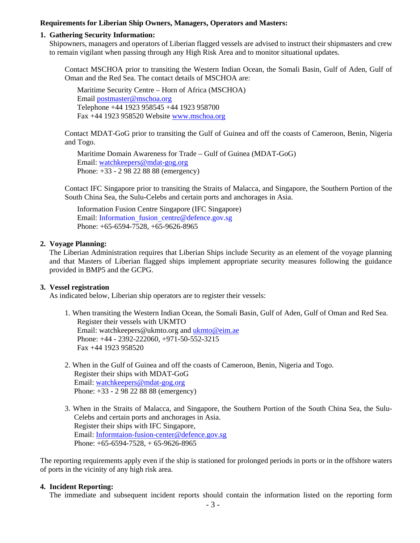#### **Requirements for Liberian Ship Owners, Managers, Operators and Masters:**

#### **1. Gathering Security Information:**

Shipowners, managers and operators of Liberian flagged vessels are advised to instruct their shipmasters and crew to remain vigilant when passing through any High Risk Area and to monitor situational updates.

Contact MSCHOA prior to transiting the Western Indian Ocean, the Somali Basin, Gulf of Aden, Gulf of Oman and the Red Sea. The contact details of MSCHOA are:

Maritime Security Centre – Horn of Africa (MSCHOA) Email postmaster@mschoa.org Telephone +44 1923 958545 +44 1923 958700 Fax +44 1923 958520 Website www.mschoa.org

Contact MDAT-GoG prior to transiting the Gulf of Guinea and off the coasts of Cameroon, Benin, Nigeria and Togo.

Maritime Domain Awareness for Trade – Gulf of Guinea (MDAT-GoG) Email: watchkeepers@mdat-gog.org Phone: +33 - 2 98 22 88 88 (emergency)

Contact IFC Singapore prior to transiting the Straits of Malacca, and Singapore, the Southern Portion of the South China Sea, the Sulu-Celebs and certain ports and anchorages in Asia.

Information Fusion Centre Singapore (IFC Singapore) Email: Information\_fusion\_centre@defence.gov.sg Phone: +65-6594-7528, +65-9626-8965

#### **2. Voyage Planning:**

The Liberian Administration requires that Liberian Ships include Security as an element of the voyage planning and that Masters of Liberian flagged ships implement appropriate security measures following the guidance provided in BMP5 and the GCPG.

#### **3. Vessel registration**

As indicated below, Liberian ship operators are to register their vessels:

- 1. When transiting the Western Indian Ocean, the Somali Basin, Gulf of Aden, Gulf of Oman and Red Sea. Register their vessels with UKMTO Email: watchkeepers@ukmto.org and ukmto@eim.ae Phone: +44 - 2392-222060, +971-50-552-3215 Fax +44 1923 958520
- 2. When in the Gulf of Guinea and off the coasts of Cameroon, Benin, Nigeria and Togo. Register their ships with MDAT-GoG Email: watchkeepers@mdat-gog.org Phone: +33 - 2 98 22 88 88 (emergency)
- 3. When in the Straits of Malacca, and Singapore, the Southern Portion of the South China Sea, the Sulu-Celebs and certain ports and anchorages in Asia. Register their ships with IFC Singapore, Email: Informtaion-fusion-center@defence.gov.sg Phone: +65-6594-7528, + 65-9626-8965

The reporting requirements apply even if the ship is stationed for prolonged periods in ports or in the offshore waters of ports in the vicinity of any high risk area.

#### **4. Incident Reporting:**

The immediate and subsequent incident reports should contain the information listed on the reporting form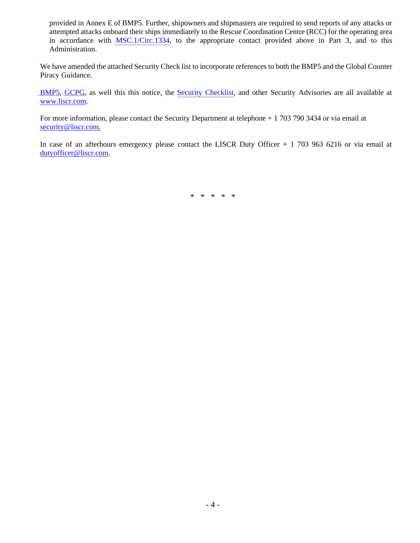provided in Annex E of BMP5. Further, shipowners and shipmasters are required to send reports of any attacks or attempted attacks onboard their ships immediately to the Rescue Coordination Centre (RCC) for the operating area in accordance with [MSC.1/Circ.1334,](http://www.liscr.com/sites/default/files/liscr_imo_resolutions/MSC.1-Circ.1334.pdf) to the appropriate contact provided above in Part 3, and to this Administration.

We have amended the attached Security Check list to incorporate references to both the BMP5 and the Global Counter Piracy Guidance.

[BMP5,](http://www.liscr.com/sites/default/files/BMP5.pdf) [GCPG,](http://www.liscr.com/sites/default/files/GCPG_1.pdf) as well this this notice, the [Security Checklist,](http://www.liscr.com/maritime/Piracy) and other Security Advisories are all available at www.liscr.com.

For more information, please contact the Security Department at telephone + 1 703 790 3434 or via email at security@liscr.com.

In case of an afterhours emergency please contact the LISCR Duty Officer + 1 703 963 6216 or via email at dutyofficer@liscr.com.

\* \* \* \* \*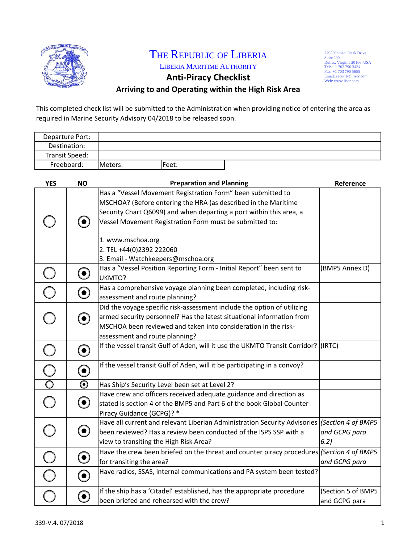

# THE REPUBLIC OF LIBERIA

LIBERIA MARITIME AUTHORITY **Anti‐Piracy Checklist**

22980 Indian Creek Drive, Suite 200<br>Tel: +1 703 790 3434<br>Tel: +1 703 790 3434<br>Email: security@liscr.com<br>Email: security@liscr.com<br>Web: www.liscr.com

# **Arriving to and Operating within the High Risk Area**

This completed check list will be submitted to the Administration when providing notice of entering the area as required in Marine Security Advisory 04/2018 to be released soon.

| Departure Port: |         |       |  |
|-----------------|---------|-------|--|
| Destination:    |         |       |  |
| Transit Speed:  |         |       |  |
| Freeboard:      | Meters: | Feet: |  |

| <b>YES</b>              | <b>NO</b>                | <b>Preparation and Planning</b>                                                              | Reference          |
|-------------------------|--------------------------|----------------------------------------------------------------------------------------------|--------------------|
|                         |                          | Has a "Vessel Movement Registration Form" been submitted to                                  |                    |
|                         |                          | MSCHOA? (Before entering the HRA (as described in the Maritime                               |                    |
|                         |                          | Security Chart Q6099) and when departing a port within this area, a                          |                    |
|                         | $(\bullet)$              | Vessel Movement Registration Form must be submitted to:                                      |                    |
|                         |                          |                                                                                              |                    |
|                         |                          | 1. www.mschoa.org                                                                            |                    |
|                         |                          | 2. TEL +44(0)2392 222060                                                                     |                    |
|                         |                          | 3. Email - Watchkeepers@mschoa.org                                                           |                    |
|                         | $\boldsymbol{\Theta}$    | Has a "Vessel Position Reporting Form - Initial Report" been sent to<br>UKMTO?               | (BMP5 Annex D)     |
|                         |                          | Has a comprehensive voyage planning been completed, including risk-                          |                    |
|                         | $\boldsymbol{\odot}$     | assessment and route planning?                                                               |                    |
|                         |                          | Did the voyage specific risk-assessment include the option of utilizing                      |                    |
|                         | $\left( \bullet \right)$ | armed security personnel? Has the latest situational information from                        |                    |
|                         |                          | MSCHOA been reviewed and taken into consideration in the risk-                               |                    |
|                         |                          | assessment and route planning?                                                               |                    |
| C                       | $\boldsymbol{\Theta}$    | If the vessel transit Gulf of Aden, will it use the UKMTO Transit Corridor? (IRTC)           |                    |
| $\overline{\mathsf{C}}$ | $\bf O$                  | If the vessel transit Gulf of Aden, will it be participating in a convoy?                    |                    |
| $\overline{O}$          | $\boldsymbol{\odot}$     | Has Ship's Security Level been set at Level 2?                                               |                    |
|                         |                          | Have crew and officers received adequate guidance and direction as                           |                    |
|                         | $\boldsymbol{\Theta}$    | stated is section 4 of the BMP5 and Part 6 of the book Global Counter                        |                    |
|                         |                          | Piracy Guidance (GCPG)? *                                                                    |                    |
|                         |                          | Have all current and relevant Liberian Administration Security Advisories (Section 4 of BMP5 |                    |
| $\bigcirc$              | $\boldsymbol{\Theta}$    | been reviewed? Has a review been conducted of the ISPS SSP with a                            | and GCPG para      |
|                         |                          | view to transiting the High Risk Area?                                                       | 6.2)               |
|                         |                          | Have the crew been briefed on the threat and counter piracy procedures (Section 4 of BMP5    |                    |
|                         | $\boldsymbol{\Theta}$    | for transiting the area?                                                                     | and GCPG para      |
|                         | $\boldsymbol{\odot}$     | Have radios, SSAS, internal communications and PA system been tested?                        |                    |
|                         |                          | If the ship has a 'Citadel' established, has the appropriate procedure                       | (Section 5 of BMP5 |
|                         | $\boldsymbol{\Theta}$    | been briefed and rehearsed with the crew?                                                    | and GCPG para      |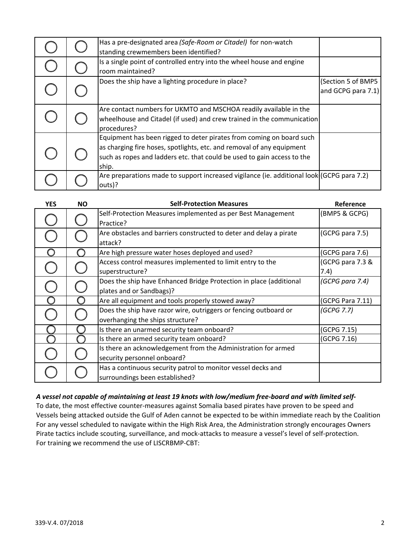|  | Has a pre-designated area (Safe-Room or Citadel) for non-watch<br>standing crewmembers been identified?                                                                                                                           |                                          |
|--|-----------------------------------------------------------------------------------------------------------------------------------------------------------------------------------------------------------------------------------|------------------------------------------|
|  | Is a single point of controlled entry into the wheel house and engine<br>room maintained?                                                                                                                                         |                                          |
|  | Does the ship have a lighting procedure in place?                                                                                                                                                                                 | (Section 5 of BMP5<br>and GCPG para 7.1) |
|  | Are contact numbers for UKMTO and MSCHOA readily available in the<br>wheelhouse and Citadel (if used) and crew trained in the communication<br>procedures?                                                                        |                                          |
|  | Equipment has been rigged to deter pirates from coming on board such<br>as charging fire hoses, spotlights, etc. and removal of any equipment<br>such as ropes and ladders etc. that could be used to gain access to the<br>ship. |                                          |
|  | Are preparations made to support increased vigilance (ie. additional look (GCPG para 7.2)<br>outs)?                                                                                                                               |                                          |

| <b>YES</b> | <b>NO</b> | <b>Self-Protection Measures</b>                                    | Reference        |
|------------|-----------|--------------------------------------------------------------------|------------------|
|            |           | Self-Protection Measures implemented as per Best Management        | (BMP5 & GCPG)    |
|            |           | Practice?                                                          |                  |
|            |           | Are obstacles and barriers constructed to deter and delay a pirate | (GCPG para 7.5)  |
|            |           | attack?                                                            |                  |
|            |           | Are high pressure water hoses deployed and used?                   | (GCPG para 7.6)  |
|            |           | Access control measures implemented to limit entry to the          | (GCPG para 7.3 & |
|            |           | superstructure?                                                    | 7.4)             |
|            |           | Does the ship have Enhanced Bridge Protection in place (additional | (GCPG para 7.4)  |
|            |           | plates and or Sandbags)?                                           |                  |
|            |           | Are all equipment and tools properly stowed away?                  | (GCPG Para 7.11) |
|            |           | Does the ship have razor wire, outriggers or fencing outboard or   | (GCPG 7.7)       |
|            |           | overhanging the ships structure?                                   |                  |
|            |           | Is there an unarmed security team onboard?                         | (GCPG 7.15)      |
|            |           | Is there an armed security team onboard?                           | (GCPG 7.16)      |
|            |           | Is there an acknowledgement from the Administration for armed      |                  |
|            |           | security personnel onboard?                                        |                  |
|            |           | Has a continuous security patrol to monitor vessel decks and       |                  |
|            |           | surroundings been established?                                     |                  |

#### A vessel not capable of maintaining at least 19 knots with low/medium free-board and with limited self-

For training we recommend the use of LISCRBMP‐CBT: Pirate tactics include scouting, surveillance, and mock‐attacks to measure a vessel's level of self‐protection. For any vessel scheduled to navigate within the High Risk Area, the Administration strongly encourages Owners Vessels being attacked outside the Gulf of Aden cannot be expected to be within immediate reach by the Coalition To date, the most effective counter‐measures against Somalia based pirates have proven to be speed and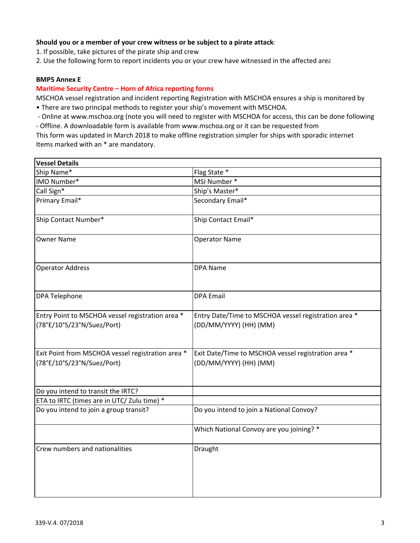#### **Should you or a member of your crew witness or be subject to a pirate attack:**

1. If possible, take pictures of the pirate ship and crew

2. Use the following form to report incidents you or your crew have witnessed in the affected area

#### **BMP5 Annex E**

#### **Maritime Security Centre – Horn of Africa reporting forms**

• There are two principal methods to register your ship's movement with MSCHOA. MSCHOA vessel registration and incident reporting Registration with MSCHOA ensures a ship is monitored by

‐ Online at www.mschoa.org (note you will need to register with MSCHOA for access, this can be done following

‐ Offline. A downloadable form is available from www.mschoa.org or it can be requested from

This form was updated in March 2018 to make offline registration simpler for ships with sporadic internet Items marked with an \* are mandatory.

| <b>Vessel Details</b>                                                           |                                                                                |
|---------------------------------------------------------------------------------|--------------------------------------------------------------------------------|
| Ship Name*                                                                      | Flag State *                                                                   |
| IMO Number*                                                                     | MSI Number *                                                                   |
| Call Sign*                                                                      | Ship's Master*                                                                 |
| Primary Email*                                                                  | Secondary Email*                                                               |
| Ship Contact Number*                                                            | Ship Contact Email*                                                            |
| <b>Owner Name</b>                                                               | <b>Operator Name</b>                                                           |
| <b>Operator Address</b>                                                         | <b>DPA Name</b>                                                                |
| <b>DPA Telephone</b>                                                            | <b>DPA Email</b>                                                               |
| Entry Point to MSCHOA vessel registration area *<br>(78°E/10°S/23°N/Suez/Port)  | Entry Date/Time to MSCHOA vessel registration area *<br>(DD/MM/YYYY) (HH) (MM) |
| Exit Point from MSCHOA vessel registration area *<br>(78°E/10°S/23°N/Suez/Port) | Exit Date/Time to MSCHOA vessel registration area *<br>(DD/MM/YYYY) (HH) (MM)  |
| Do you intend to transit the IRTC?                                              |                                                                                |
| ETA to IRTC (times are in UTC/ Zulu time) *                                     |                                                                                |
| Do you intend to join a group transit?                                          | Do you intend to join a National Convoy?                                       |
|                                                                                 | Which National Convoy are you joining? *                                       |
| Crew numbers and nationalities                                                  | Draught                                                                        |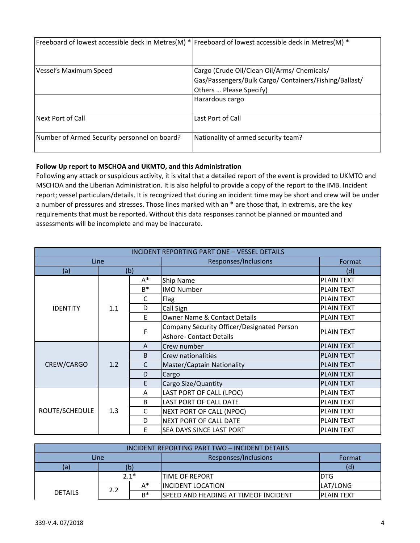|                                              | Freeboard of lowest accessible deck in Metres(M) * Freeboard of lowest accessible deck in Metres(M) *                            |
|----------------------------------------------|----------------------------------------------------------------------------------------------------------------------------------|
| Vessel's Maximum Speed                       | Cargo (Crude Oil/Clean Oil/Arms/ Chemicals/<br>Gas/Passengers/Bulk Cargo/ Containers/Fishing/Ballast/<br>Others  Please Specify) |
|                                              | Hazardous cargo                                                                                                                  |
| Next Port of Call                            | Last Port of Call                                                                                                                |
| Number of Armed Security personnel on board? | Nationality of armed security team?                                                                                              |

#### **Follow Up report to MSCHOA and UKMTO, and this Administration**

Following any attack or suspicious activity, it is vital that a detailed report of the event is provided to UKMTO and MSCHOA and the Liberian Administration. It is also helpful to provide a copy of the report to the IMB. Incident report; vessel particulars/details. It is recognized that during an incident time may be short and crew will be under a number of pressures and stresses. Those lines marked with an \* are those that, in extremis, are the key requirements that must be reported. Without this data responses cannot be planned or mounted and assessments will be incomplete and may be inaccurate.

| <b>INCIDENT REPORTING PART ONE - VESSEL DETAILS</b> |     |       |                                                                              |                                                                                                                                                                                                                |  |
|-----------------------------------------------------|-----|-------|------------------------------------------------------------------------------|----------------------------------------------------------------------------------------------------------------------------------------------------------------------------------------------------------------|--|
| Line                                                |     |       | Responses/Inclusions                                                         | Format                                                                                                                                                                                                         |  |
| (a)                                                 |     | (b)   |                                                                              | (d)                                                                                                                                                                                                            |  |
|                                                     |     | A*    | Ship Name                                                                    | <b>PLAIN TEXT</b>                                                                                                                                                                                              |  |
|                                                     |     | $B^*$ | <b>IMO Number</b>                                                            | <b>PLAIN TEXT</b>                                                                                                                                                                                              |  |
|                                                     |     | C     | Flag                                                                         | <b>PLAIN TEXT</b>                                                                                                                                                                                              |  |
| <b>IDENTITY</b>                                     | 1.1 | D     | Call Sign                                                                    | <b>PLAIN TEXT</b>                                                                                                                                                                                              |  |
|                                                     |     | F     | <b>Owner Name &amp; Contact Details</b>                                      | <b>PLAIN TEXT</b>                                                                                                                                                                                              |  |
|                                                     |     | F     | Company Security Officer/Designated Person<br><b>Ashore- Contact Details</b> | <b>PLAIN TEXT</b><br><b>PLAIN TEXT</b><br><b>PLAIN TEXT</b><br><b>PLAIN TEXT</b><br><b>PLAIN TEXT</b><br><b>PLAIN TEXT</b><br><b>PLAIN TEXT</b><br><b>PLAIN TEXT</b><br><b>PLAIN TEXT</b><br><b>PLAIN TEXT</b> |  |
|                                                     |     | A     | Crew number                                                                  |                                                                                                                                                                                                                |  |
| CREW/CARGO                                          |     | B     | Crew nationalities                                                           |                                                                                                                                                                                                                |  |
|                                                     | 1.2 | C     | Master/Captain Nationality                                                   |                                                                                                                                                                                                                |  |
|                                                     |     | D     | Cargo                                                                        | <b>PLAIN TEXT</b>                                                                                                                                                                                              |  |
|                                                     |     | E     | Cargo Size/Quantity                                                          |                                                                                                                                                                                                                |  |
|                                                     |     | A     | LAST PORT OF CALL (LPOC)                                                     |                                                                                                                                                                                                                |  |
|                                                     |     | B     | LAST PORT OF CALL DATE                                                       |                                                                                                                                                                                                                |  |
| ROUTE/SCHEDULE                                      | 1.3 | C     | <b>NEXT PORT OF CALL (NPOC)</b>                                              |                                                                                                                                                                                                                |  |
|                                                     |     | D     | NEXT PORT OF CALL DATE                                                       |                                                                                                                                                                                                                |  |
|                                                     |     | F     | SEA DAYS SINCE LAST PORT                                                     |                                                                                                                                                                                                                |  |

| INCIDENT REPORTING PART TWO - INCIDENT DETAILS |              |                           |                                       |                    |  |  |
|------------------------------------------------|--------------|---------------------------|---------------------------------------|--------------------|--|--|
| Line                                           |              |                           | Responses/Inclusions                  | Format             |  |  |
| (a)                                            | (b)          |                           |                                       | (d)                |  |  |
|                                                | $2.1*$       |                           | <b>TIME OF REPORT</b>                 | DTG                |  |  |
| <b>DETAILS</b>                                 | $A^*$<br>2.2 | <b>IINCIDENT LOCATION</b> | LAT/LONG                              |                    |  |  |
|                                                |              | $B^*$                     | ISPEED AND HEADING AT TIMEOF INCIDENT | <b>IPLAIN TEXT</b> |  |  |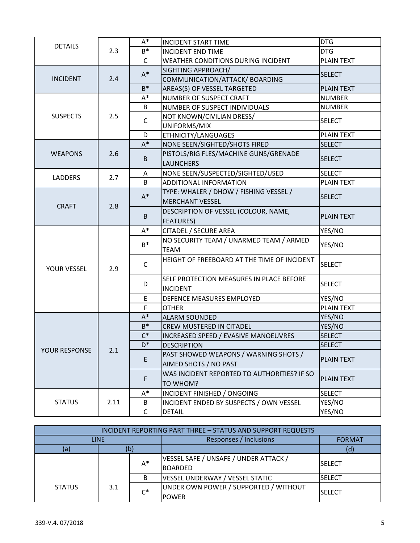|                 |      | $A^*$        | <b>INCIDENT START TIME</b>                  | <b>DTG</b>        |
|-----------------|------|--------------|---------------------------------------------|-------------------|
| <b>DETAILS</b>  | 2.3  | $B^*$        | <b>INCIDENT END TIME</b>                    | <b>DTG</b>        |
|                 |      | $\mathsf{C}$ | <b>WEATHER CONDITIONS DURING INCIDENT</b>   | <b>PLAIN TEXT</b> |
|                 |      | $A^*$        | SIGHTING APPROACH/                          |                   |
| <b>INCIDENT</b> | 2.4  |              | COMMUNICATION/ATTACK/ BOARDING              | <b>SELECT</b>     |
|                 |      | $B^*$        | AREAS(S) OF VESSEL TARGETED                 | <b>PLAIN TEXT</b> |
|                 |      | A*           | NUMBER OF SUSPECT CRAFT                     | <b>NUMBER</b>     |
|                 |      | B            | NUMBER OF SUSPECT INDIVIDUALS               | <b>NUMBER</b>     |
| <b>SUSPECTS</b> | 2.5  | $\mathsf{C}$ | NOT KNOWN/CIVILIAN DRESS/                   | <b>SELECT</b>     |
|                 |      |              | UNIFORMS/MIX                                |                   |
|                 |      | D            | ETHNICITY/LANGUAGES                         | <b>PLAIN TEXT</b> |
|                 |      | $A^*$        | NONE SEEN/SIGHTED/SHOTS FIRED               | <b>SELECT</b>     |
| <b>WEAPONS</b>  | 2.6  | $\mathsf B$  | PISTOLS/RIG FLES/MACHINE GUNS/GRENADE       | <b>SELECT</b>     |
|                 |      |              | <b>LAUNCHERS</b>                            |                   |
| <b>LADDERS</b>  | 2.7  | A            | NONE SEEN/SUSPECTED/SIGHTED/USED            | <b>SELECT</b>     |
|                 |      | B            | <b>ADDITIONAL INFORMATION</b>               | <b>PLAIN TEXT</b> |
|                 |      | $A^*$        | TYPE: WHALER / DHOW / FISHING VESSEL /      | <b>SELECT</b>     |
|                 | 2.8  |              | <b>MERCHANT VESSEL</b>                      |                   |
|                 |      |              | DESCRIPTION OF VESSEL (COLOUR, NAME,        | <b>PLAIN TEXT</b> |
|                 |      | B            | <b>FEATURES)</b>                            |                   |
|                 |      | $A^*$        | CITADEL / SECURE AREA                       | YES/NO            |
|                 |      | $B^*$        | NO SECURITY TEAM / UNARMED TEAM / ARMED     | YES/NO            |
|                 |      |              | <b>TEAM</b>                                 |                   |
|                 |      | $\mathsf{C}$ | HEIGHT OF FREEBOARD AT THE TIME OF INCIDENT | <b>SELECT</b>     |
| YOUR VESSEL     | 2.9  |              |                                             |                   |
|                 |      |              | SELF PROTECTION MEASURES IN PLACE BEFORE    |                   |
|                 |      | D            | <b>INCIDENT</b>                             | <b>SELECT</b>     |
|                 |      | E            | DEFENCE MEASURES EMPLOYED                   | YES/NO            |
| <b>CRAFT</b>    |      | F.           | <b>OTHER</b>                                | <b>PLAIN TEXT</b> |
|                 |      | $A^*$        | <b>ALARM SOUNDED</b>                        |                   |
|                 |      |              |                                             | YES/NO            |
|                 |      | $B^*$        | <b>CREW MUSTERED IN CITADEL</b>             | YES/NO            |
|                 |      | $C^*$        | INCREASED SPEED / EVASIVE MANOEUVRES        | <b>SELECT</b>     |
|                 |      | D*           | <b>DESCRIPTION</b>                          | <b>SELECT</b>     |
| YOUR RESPONSE   | 2.1  |              | PAST SHOWED WEAPONS / WARNING SHOTS /       |                   |
|                 |      | E            | AIMED SHOTS / NO PAST                       | <b>PLAIN TEXT</b> |
|                 |      |              | WAS INCIDENT REPORTED TO AUTHORITIES? IF SO |                   |
|                 |      | F            | TO WHOM?                                    | <b>PLAIN TEXT</b> |
|                 |      | A*           | INCIDENT FINISHED / ONGOING                 | <b>SELECT</b>     |
| <b>STATUS</b>   | 2.11 | B            | INCIDENT ENDED BY SUSPECTS / OWN VESSEL     | YES/NO            |

| INCIDENT REPORTING PART THREE - STATUS AND SUPPORT REQUESTS |     |       |                                                         |                |  |  |
|-------------------------------------------------------------|-----|-------|---------------------------------------------------------|----------------|--|--|
| <b>LINE</b>                                                 |     |       | Responses / Inclusions                                  | <b>FORMAT</b>  |  |  |
| (a)                                                         | (b) |       |                                                         | (d)            |  |  |
|                                                             |     | $A^*$ | VESSEL SAFE / UNSAFE / UNDER ATTACK /<br><b>BOARDED</b> | <b>ISELECT</b> |  |  |
|                                                             |     | B     | <b>VESSEL UNDERWAY / VESSEL STATIC</b>                  | <b>ISELECT</b> |  |  |
| <b>STATUS</b>                                               | 3.1 | $C^*$ | UNDER OWN POWER / SUPPORTED / WITHOUT<br><b>POWER</b>   | <b>SELECT</b>  |  |  |